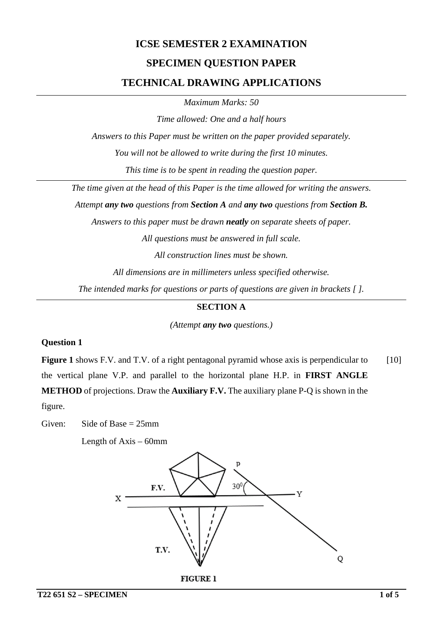# **ICSE SEMESTER 2 EXAMINATION SPECIMEN QUESTION PAPER TECHNICAL DRAWING APPLICATIONS**

*Maximum Marks: 50*

*Time allowed: One and a half hours*

*Answers to this Paper must be written on the paper provided separately.*

*You will not be allowed to write during the first 10 minutes.*

*This time is to be spent in reading the question paper.*

*The time given at the head of this Paper is the time allowed for writing the answers.*

*Attempt any two questions from Section A and any two questions from Section B.*

*Answers to this paper must be drawn neatly on separate sheets of paper.*

*All questions must be answered in full scale.*

*All construction lines must be shown.*

*All dimensions are in millimeters unless specified otherwise.*

*The intended marks for questions or parts of questions are given in brackets [ ].*

#### **SECTION A**

*(Attempt any two questions.)*

#### **Question 1**

**Figure 1** shows F.V. and T.V. of a right pentagonal pyramid whose axis is perpendicular to the vertical plane V.P. and parallel to the horizontal plane H.P. in **FIRST ANGLE METHOD** of projections. Draw the **Auxiliary F.V.** The auxiliary plane P-Q is shown in the figure. [10]

Given: Side of Base  $= 25$ mm

Length of Axis – 60mm

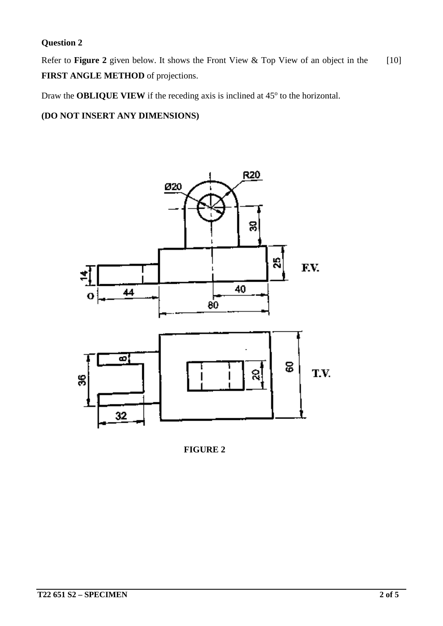# **Question 2**

Refer to **Figure 2** given below. It shows the Front View & Top View of an object in the **FIRST ANGLE METHOD** of projections. [10]

Draw the **OBLIQUE VIEW** if the receding axis is inclined at 45<sup>o</sup> to the horizontal.

**(DO NOT INSERT ANY DIMENSIONS)**



**FIGURE 2**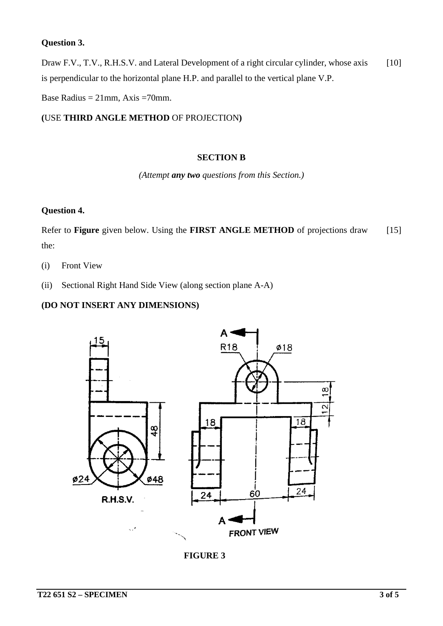#### **Question 3.**

Draw F.V., T.V., R.H.S.V. and Lateral Development of a right circular cylinder, whose axis is perpendicular to the horizontal plane H.P. and parallel to the vertical plane V.P. [10]

Base Radius =  $21$ mm, Axis =  $70$ mm.

**(**USE **THIRD ANGLE METHOD** OF PROJECTION**)**

#### **SECTION B**

*(Attempt any two questions from this Section.)*

#### **Question 4.**

Refer to **Figure** given below. Using the **FIRST ANGLE METHOD** of projections draw the: [15]

- (i) Front View
- (ii) Sectional Right Hand Side View (along section plane A-A)

### **(DO NOT INSERT ANY DIMENSIONS)**



**FIGURE 3**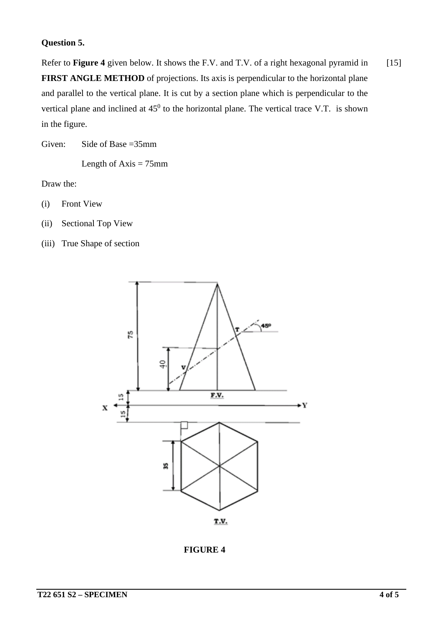## **Question 5.**

Refer to **Figure 4** given below. It shows the F.V. and T.V. of a right hexagonal pyramid in **FIRST ANGLE METHOD** of projections. Its axis is perpendicular to the horizontal plane and parallel to the vertical plane. It is cut by a section plane which is perpendicular to the vertical plane and inclined at  $45^0$  to the horizontal plane. The vertical trace V.T. is shown in the figure. [15]

Given: Side of Base =35mm

Length of  $Axis = 75$ mm

Draw the:

- (i) Front View
- (ii) Sectional Top View
- (iii) True Shape of section



**FIGURE 4**